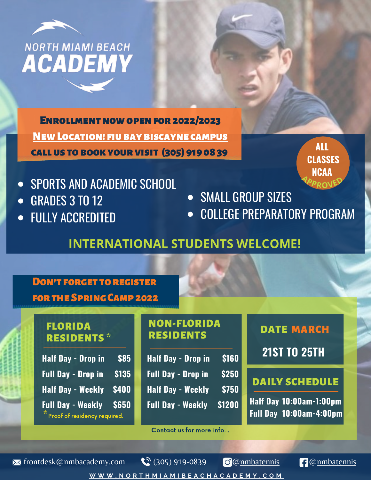

ENROLLMENT NOW OPEN FOR 2022/2023 **NEW LOCATION! FIU BAY BISCAYNE CAMPUS** callus tobookyourvisit (305) 919 08 39

- SPORTS AND ACADEMIC SCHOOL
- GRADES 3 TO 12  $\bullet$
- FULLY ACCREDITED  $\bullet$
- **SMALL GROUP SIZES**
- COLLEGE PREPARATORY PROGRAM

**ALL**

**CLASSES**

**NCAA <sup>A</sup>PPROVE<sup>D</sup>**

# **INTERNATIONAL STUDENTS WELCOME!**

| <b>DON'T FORGET TO REGISTER</b><br><b>FOR THE SPRING CAMP 2022</b>                                                                           |                                                                                                               |                                                                             |
|----------------------------------------------------------------------------------------------------------------------------------------------|---------------------------------------------------------------------------------------------------------------|-----------------------------------------------------------------------------|
| <b>FLORIDA</b><br><b>RESIDENTS*</b><br>\$85<br><b>Half Day - Drop in</b>                                                                     | <b>NON-FLORIDA</b><br><b>RESIDENTS</b><br><b>Half Day - Drop in</b><br>\$160                                  | <b>DATE MARCH</b><br><b>21ST TO 25TH</b>                                    |
| \$135<br><b>Full Day - Drop in</b><br><b>Half Day - Weekly</b><br>\$400<br><b>Full Day - Weekly</b><br>\$650<br>Proof of residency required. | \$250<br><b>Full Day - Drop in</b><br>\$750<br><b>Half Day - Weekly</b><br>\$1200<br><b>Full Day - Weekly</b> | <b>DAILY SCHEDULE</b><br>Half Day 10:00am-1:00pm<br>Full Day 10:00am-4:00pm |

Contact us for more info...

 $\bowtie$  [frontdesk@nmbacademy.com](mailto:frontdesk@nmbacademy.com?subject=Tell%20me%20MORE%20about%20NMBA...)  $\bowtie$  (305) 919-0839  $\odot$ @[nmbatennis](https://www.instagram.com/nmbatennis/?hl=en)  $\Box$ [@nmbatennis](https://www.facebook.com/nmbatennis/)

 $\mathbb{C}^{3}$  (305) 919-0839

[W](https://www.northmiamibeachacademy.com/)WW.NORTHMIAMIBEACHACADEMY.COM